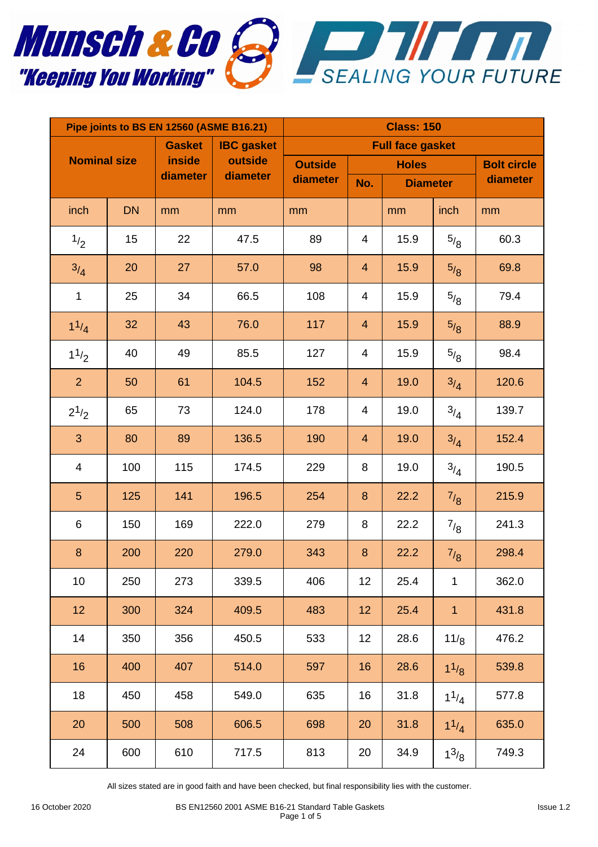

| Pipe joints to BS EN 12560 (ASME B16.21) |           |               |                     | <b>Class: 150</b>       |                |                 |                 |                    |  |
|------------------------------------------|-----------|---------------|---------------------|-------------------------|----------------|-----------------|-----------------|--------------------|--|
| <b>Gasket</b>                            |           |               | <b>IBC</b> gasket   | <b>Full face gasket</b> |                |                 |                 |                    |  |
| <b>Nominal size</b>                      |           | <b>inside</b> | outside<br>diameter | <b>Outside</b>          | <b>Holes</b>   |                 |                 | <b>Bolt circle</b> |  |
|                                          |           | diameter      |                     | diameter                | No.            | <b>Diameter</b> |                 | diameter           |  |
| inch                                     | <b>DN</b> | mm            | mm                  | mm                      |                | mm              | inch            | mm                 |  |
| 1/2                                      | 15        | 22            | 47.5                | 89                      | 4              | 15.9            | $^{5/8}$        | 60.3               |  |
| 3/4                                      | 20        | 27            | 57.0                | 98                      | $\overline{4}$ | 15.9            | 5/8             | 69.8               |  |
| 1                                        | 25        | 34            | 66.5                | 108                     | 4              | 15.9            | $^{5/8}$        | 79.4               |  |
| $1^{1/4}$                                | 32        | 43            | 76.0                | 117                     | $\overline{4}$ | 15.9            | 5/8             | 88.9               |  |
| $1^{1/2}$                                | 40        | 49            | 85.5                | 127                     | 4              | 15.9            | $^{5/8}$        | 98.4               |  |
| $\overline{2}$                           | 50        | 61            | 104.5               | 152                     | $\overline{4}$ | 19.0            | 3/4             | 120.6              |  |
| $2^{1/2}$                                | 65        | 73            | 124.0               | 178                     | 4              | 19.0            | $3/4$           | 139.7              |  |
| 3                                        | 80        | 89            | 136.5               | 190                     | $\overline{4}$ | 19.0            | 3/4             | 152.4              |  |
| $\overline{\mathcal{A}}$                 | 100       | 115           | 174.5               | 229                     | 8              | 19.0            | 3/4             | 190.5              |  |
| 5                                        | 125       | 141           | 196.5               | 254                     | 8              | 22.2            | 7/8             | 215.9              |  |
| 6                                        | 150       | 169           | 222.0               | 279                     | 8              | 22.2            | 7/8             | 241.3              |  |
| $\bf 8$                                  | 200       | 220           | 279.0               | 343                     | 8              | 22.2            | $^{7/8}$        | 298.4              |  |
| 10                                       | 250       | 273           | 339.5               | 406                     | 12             | 25.4            | 1               | 362.0              |  |
| 12                                       | 300       | 324           | 409.5               | 483                     | 12             | 25.4            | $\mathbf{1}$    | 431.8              |  |
| 14                                       | 350       | 356           | 450.5               | 533                     | 12             | 28.6            | 11 <sub>8</sub> | 476.2              |  |
| 16                                       | 400       | 407           | 514.0               | 597                     | 16             | 28.6            | $1^{1/8}$       | 539.8              |  |
| 18                                       | 450       | 458           | 549.0               | 635                     | 16             | 31.8            | $1^{1/4}$       | 577.8              |  |
| 20                                       | 500       | 508           | 606.5               | 698                     | 20             | 31.8            | $1^{1/4}$       | 635.0              |  |
| 24                                       | 600       | 610           | 717.5               | 813                     | 20             | 34.9            | $1^{3/8}$       | 749.3              |  |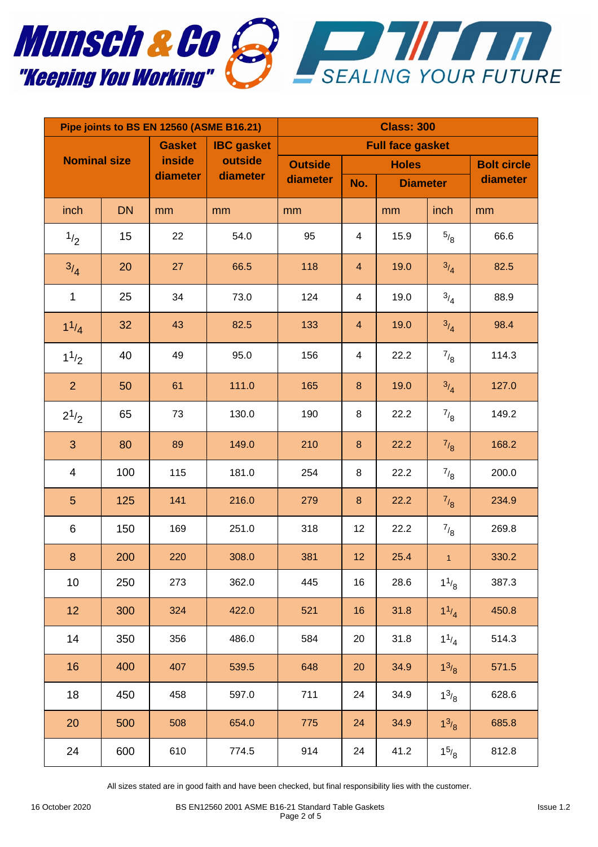

| Pipe joints to BS EN 12560 (ASME B16.21) |           |          |                         | <b>Class: 300</b> |                         |                 |              |                    |  |
|------------------------------------------|-----------|----------|-------------------------|-------------------|-------------------------|-----------------|--------------|--------------------|--|
| <b>Gasket</b><br><b>IBC</b> gasket       |           |          | <b>Full face gasket</b> |                   |                         |                 |              |                    |  |
| <b>Nominal size</b>                      |           | inside   | outside                 | <b>Outside</b>    | <b>Holes</b>            |                 |              | <b>Bolt circle</b> |  |
|                                          |           | diameter | diameter                | diameter          | No.                     | <b>Diameter</b> |              | diameter           |  |
| inch                                     | <b>DN</b> | mm       | mm                      | mm                |                         | mm              | inch         | mm                 |  |
| 1/2                                      | 15        | 22       | 54.0                    | 95                | $\overline{\mathbf{4}}$ | 15.9            | $^{5/8}$     | 66.6               |  |
| 3/4                                      | 20        | 27       | 66.5                    | 118               | $\overline{\mathbf{4}}$ | 19.0            | 3/4          | 82.5               |  |
| $\mathbf 1$                              | 25        | 34       | 73.0                    | 124               | $\overline{\mathbf{4}}$ | 19.0            | 3/4          | 88.9               |  |
| $1^{1/4}$                                | 32        | 43       | 82.5                    | 133               | $\overline{\mathbf{4}}$ | 19.0            | 3/4          | 98.4               |  |
| $1^{1/2}$                                | 40        | 49       | 95.0                    | 156               | $\overline{4}$          | 22.2            | $^{7}/_8$    | 114.3              |  |
| $\overline{2}$                           | 50        | 61       | 111.0                   | 165               | $\bf 8$                 | 19.0            | 3/4          | 127.0              |  |
| $2^{1/2}$                                | 65        | 73       | 130.0                   | 190               | 8                       | 22.2            | $^{7}/_8$    | 149.2              |  |
| 3                                        | 80        | 89       | 149.0                   | 210               | $\boldsymbol{8}$        | 22.2            | 7/8          | 168.2              |  |
| 4                                        | 100       | 115      | 181.0                   | 254               | 8                       | 22.2            | $^{7}/_8$    | 200.0              |  |
| $\overline{5}$                           | 125       | 141      | 216.0                   | 279               | $\bf 8$                 | 22.2            | $^{7/8}$     | 234.9              |  |
| 6                                        | 150       | 169      | 251.0                   | 318               | 12                      | 22.2            | $^{7}/_8$    | 269.8              |  |
| 8                                        | 200       | 220      | 308.0                   | 381               | 12                      | 25.4            | $\mathbf{1}$ | 330.2              |  |
| 10                                       | 250       | 273      | 362.0                   | 445               | 16                      | 28.6            | $1^{1/8}$    | 387.3              |  |
| 12                                       | 300       | 324      | 422.0                   | 521               | 16                      | 31.8            | $1^{1/4}$    | 450.8              |  |
| 14                                       | 350       | 356      | 486.0                   | 584               | 20                      | 31.8            | $1^{1/4}$    | 514.3              |  |
| 16                                       | 400       | 407      | 539.5                   | 648               | 20                      | 34.9            | $1^{3/8}$    | 571.5              |  |
| 18                                       | 450       | 458      | 597.0                   | 711               | 24                      | 34.9            | $1^{3/8}$    | 628.6              |  |
| 20                                       | 500       | 508      | 654.0                   | 775               | 24                      | 34.9            | $1^{3/8}$    | 685.8              |  |
| 24                                       | 600       | 610      | 774.5                   | 914               | 24                      | 41.2            | $1^{5/8}$    | 812.8              |  |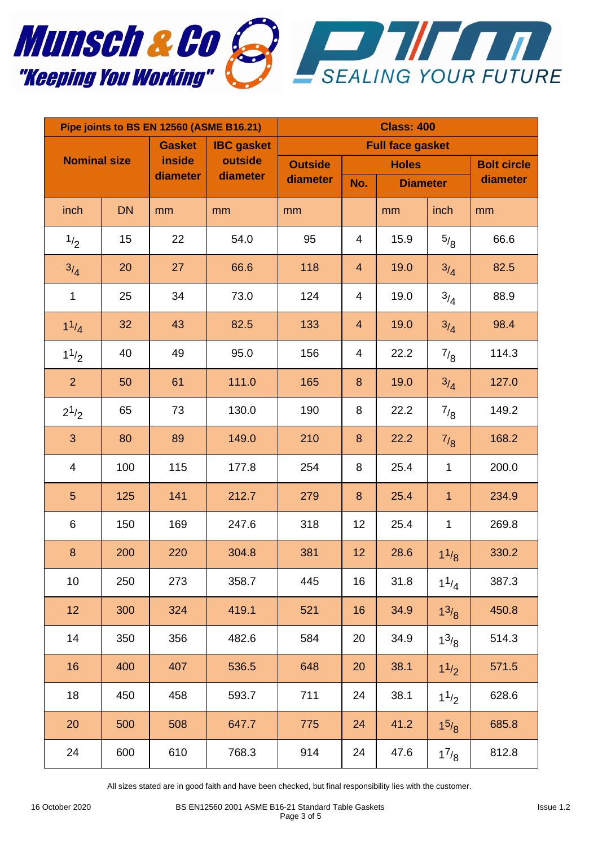

| Pipe joints to BS EN 12560 (ASME B16.21) |           |          |                     | <b>Class: 400</b> |                         |                 |                |                    |  |
|------------------------------------------|-----------|----------|---------------------|-------------------|-------------------------|-----------------|----------------|--------------------|--|
| <b>Gasket</b>                            |           |          | <b>IBC</b> gasket   |                   | <b>Full face gasket</b> |                 |                |                    |  |
| <b>Nominal size</b>                      |           | inside   | outside<br>diameter | <b>Outside</b>    | <b>Holes</b>            |                 |                | <b>Bolt circle</b> |  |
|                                          |           | diameter |                     | diameter          | No.                     | <b>Diameter</b> |                | diameter           |  |
| inch                                     | <b>DN</b> | mm       | mm                  | mm                |                         | mm              | inch           | mm                 |  |
| 1/2                                      | 15        | 22       | 54.0                | 95                | 4                       | 15.9            | $^{5/8}$       | 66.6               |  |
| 3/4                                      | 20        | 27       | 66.6                | 118               | $\overline{4}$          | 19.0            | 3/4            | 82.5               |  |
| $\mathbf 1$                              | 25        | 34       | 73.0                | 124               | 4                       | 19.0            | 3/4            | 88.9               |  |
| $1^{1/4}$                                | 32        | 43       | 82.5                | 133               | $\overline{4}$          | 19.0            | 3/4            | 98.4               |  |
| $1^{1/2}$                                | 40        | 49       | 95.0                | 156               | 4                       | 22.2            | $^{7/8}$       | 114.3              |  |
| $\overline{2}$                           | 50        | 61       | 111.0               | 165               | 8                       | 19.0            | 3/4            | 127.0              |  |
| $2^{1/2}$                                | 65        | 73       | 130.0               | 190               | 8                       | 22.2            | $^{7/8}$       | 149.2              |  |
| 3                                        | 80        | 89       | 149.0               | 210               | 8                       | 22.2            | 7/8            | 168.2              |  |
| $\overline{\mathcal{A}}$                 | 100       | 115      | 177.8               | 254               | 8                       | 25.4            | $\mathbf 1$    | 200.0              |  |
| 5                                        | 125       | 141      | 212.7               | 279               | 8                       | 25.4            | $\overline{1}$ | 234.9              |  |
| 6                                        | 150       | 169      | 247.6               | 318               | 12                      | 25.4            | $\mathbf 1$    | 269.8              |  |
| $\bf 8$                                  | 200       | 220      | 304.8               | 381               | 12                      | 28.6            | $1^{1/8}$      | 330.2              |  |
| 10                                       | 250       | 273      | 358.7               | 445               | 16                      | 31.8            | $1^{1/4}$      | 387.3              |  |
| 12                                       | 300       | 324      | 419.1               | 521               | 16                      | 34.9            | $1^{3/8}$      | 450.8              |  |
| 14                                       | 350       | 356      | 482.6               | 584               | 20                      | 34.9            | $1^{3/8}$      | 514.3              |  |
| 16                                       | 400       | 407      | 536.5               | 648               | 20                      | 38.1            | $1^{1/2}$      | 571.5              |  |
| 18                                       | 450       | 458      | 593.7               | 711               | 24                      | 38.1            | 11/2           | 628.6              |  |
| 20                                       | 500       | 508      | 647.7               | 775               | 24                      | 41.2            | $1^{5/8}$      | 685.8              |  |
| 24                                       | 600       | 610      | 768.3               | 914               | 24                      | 47.6            | $1^{7}/_8$     | 812.8              |  |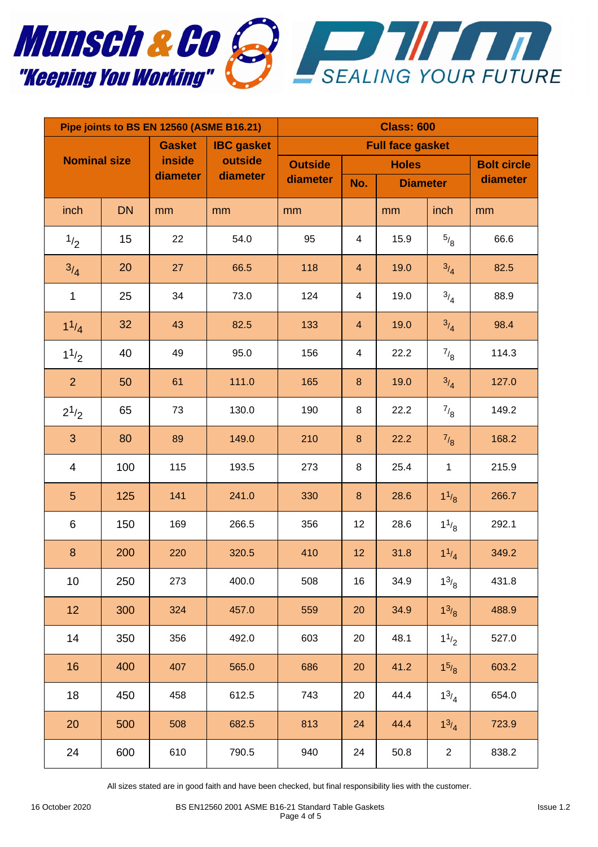

| Pipe joints to BS EN 12560 (ASME B16.21) |           |          |                   | <b>Class: 600</b>       |                         |                 |                  |                    |  |
|------------------------------------------|-----------|----------|-------------------|-------------------------|-------------------------|-----------------|------------------|--------------------|--|
| <b>Gasket</b>                            |           |          | <b>IBC</b> gasket | <b>Full face gasket</b> |                         |                 |                  |                    |  |
| <b>Nominal size</b>                      |           | inside   | outside           | <b>Outside</b>          | <b>Holes</b>            |                 |                  | <b>Bolt circle</b> |  |
|                                          |           | diameter | diameter          | diameter                | No.                     | <b>Diameter</b> |                  | diameter           |  |
| inch                                     | <b>DN</b> | mm       | mm                | mm                      |                         | mm              | inch             | mm                 |  |
| 1/2                                      | 15        | 22       | 54.0              | 95                      | $\overline{4}$          | 15.9            | $^{5/8}$         | 66.6               |  |
| 3/4                                      | 20        | 27       | 66.5              | 118                     | $\overline{4}$          | 19.0            | 3/4              | 82.5               |  |
| $\mathbf 1$                              | 25        | 34       | 73.0              | 124                     | $\overline{\mathbf{4}}$ | 19.0            | $^{3/4}$         | 88.9               |  |
| $1^{1/4}$                                | 32        | 43       | 82.5              | 133                     | $\overline{\mathbf{4}}$ | 19.0            | 3/4              | 98.4               |  |
| $1^{1/2}$                                | 40        | 49       | 95.0              | 156                     | $\overline{\mathbf{4}}$ | 22.2            | $^{7}/_8$        | 114.3              |  |
| $\overline{2}$                           | 50        | 61       | 111.0             | 165                     | $\bf 8$                 | 19.0            | 3/4              | 127.0              |  |
| $2^{1/2}$                                | 65        | 73       | 130.0             | 190                     | 8                       | 22.2            | $^{7}/_8$        | 149.2              |  |
| 3                                        | 80        | 89       | 149.0             | 210                     | $\bf 8$                 | 22.2            | 7/8              | 168.2              |  |
| $\overline{\mathcal{A}}$                 | 100       | 115      | 193.5             | 273                     | $\bf 8$                 | 25.4            | $\mathbf 1$      | 215.9              |  |
| $\overline{5}$                           | 125       | 141      | 241.0             | 330                     | $\bf 8$                 | 28.6            | $1^{1/8}$        | 266.7              |  |
| 6                                        | 150       | 169      | 266.5             | 356                     | 12                      | 28.6            | $1^{1/8}$        | 292.1              |  |
| $\bf 8$                                  | 200       | 220      | 320.5             | 410                     | 12                      | 31.8            | $1^{1/4}$        | 349.2              |  |
| 10                                       | 250       | 273      | 400.0             | 508                     | 16                      | 34.9            | $1^{3/8}$        | 431.8              |  |
| 12                                       | 300       | 324      | 457.0             | 559                     | 20                      | 34.9            | $1^{3/8}$        | 488.9              |  |
| 14                                       | 350       | 356      | 492.0             | 603                     | 20                      | 48.1            | $1^{1/2}$        | 527.0              |  |
| 16                                       | 400       | 407      | 565.0             | 686                     | 20                      | 41.2            | $1^{5/8}$        | 603.2              |  |
| 18                                       | 450       | 458      | 612.5             | 743                     | 20                      | 44.4            | $1^{3/4}$        | 654.0              |  |
| 20                                       | 500       | 508      | 682.5             | 813                     | 24                      | 44.4            | $1^{3/4}$        | 723.9              |  |
| 24                                       | 600       | 610      | 790.5             | 940                     | 24                      | 50.8            | $\boldsymbol{2}$ | 838.2              |  |